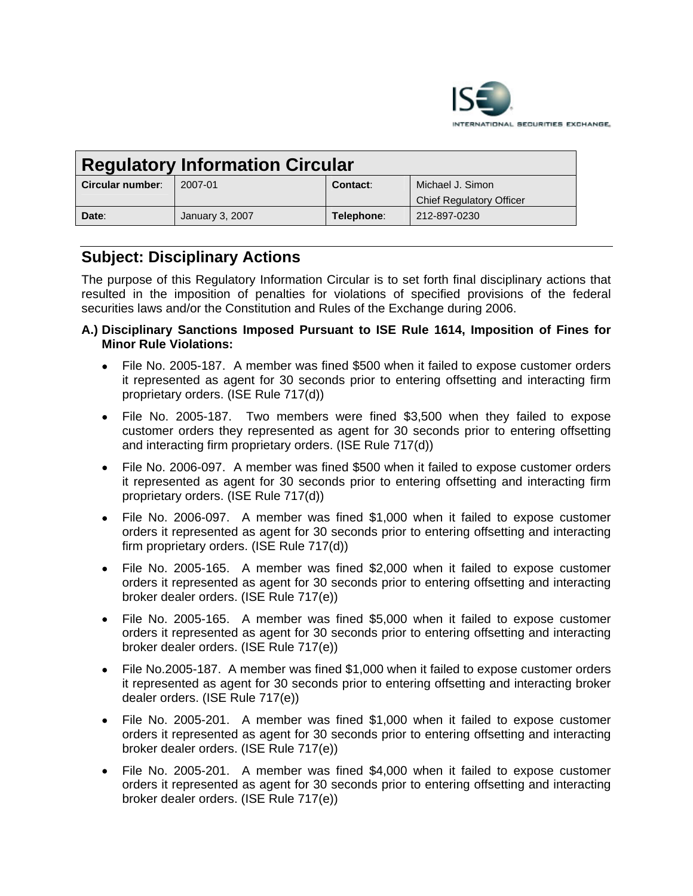

| <b>Regulatory Information Circular</b> |                 |            |                                 |
|----------------------------------------|-----------------|------------|---------------------------------|
| Circular number:                       | 2007-01         | Contact:   | Michael J. Simon                |
|                                        |                 |            | <b>Chief Regulatory Officer</b> |
| Date:                                  | January 3, 2007 | Telephone: | 212-897-0230                    |

# **Subject: Disciplinary Actions**

The purpose of this Regulatory Information Circular is to set forth final disciplinary actions that resulted in the imposition of penalties for violations of specified provisions of the federal securities laws and/or the Constitution and Rules of the Exchange during 2006.

## **A.) Disciplinary Sanctions Imposed Pursuant to ISE Rule 1614, Imposition of Fines for Minor Rule Violations:**

- File No. 2005-187. A member was fined \$500 when it failed to expose customer orders it represented as agent for 30 seconds prior to entering offsetting and interacting firm proprietary orders. (ISE Rule 717(d))
- File No. 2005-187. Two members were fined \$3,500 when they failed to expose customer orders they represented as agent for 30 seconds prior to entering offsetting and interacting firm proprietary orders. (ISE Rule 717(d))
- File No. 2006-097. A member was fined \$500 when it failed to expose customer orders it represented as agent for 30 seconds prior to entering offsetting and interacting firm proprietary orders. (ISE Rule 717(d))
- File No. 2006-097. A member was fined \$1,000 when it failed to expose customer orders it represented as agent for 30 seconds prior to entering offsetting and interacting firm proprietary orders. (ISE Rule 717(d))
- File No. 2005-165. A member was fined \$2,000 when it failed to expose customer orders it represented as agent for 30 seconds prior to entering offsetting and interacting broker dealer orders. (ISE Rule 717(e))
- File No. 2005-165. A member was fined \$5,000 when it failed to expose customer orders it represented as agent for 30 seconds prior to entering offsetting and interacting broker dealer orders. (ISE Rule 717(e))
- File No.2005-187. A member was fined \$1,000 when it failed to expose customer orders it represented as agent for 30 seconds prior to entering offsetting and interacting broker dealer orders. (ISE Rule 717(e))
- File No. 2005-201. A member was fined \$1,000 when it failed to expose customer orders it represented as agent for 30 seconds prior to entering offsetting and interacting broker dealer orders. (ISE Rule 717(e))
- File No. 2005-201. A member was fined \$4,000 when it failed to expose customer orders it represented as agent for 30 seconds prior to entering offsetting and interacting broker dealer orders. (ISE Rule 717(e))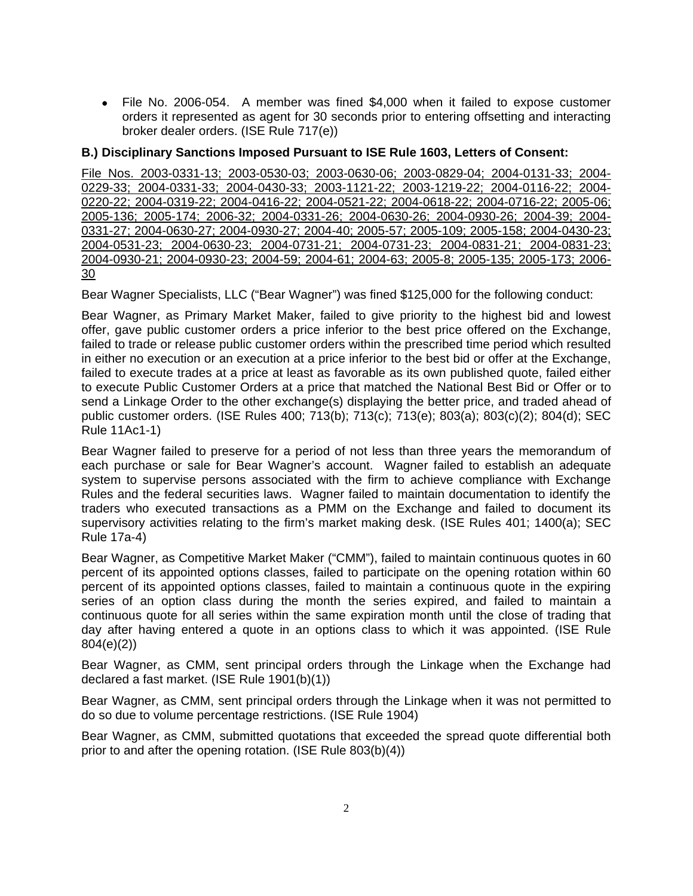• File No. 2006-054. A member was fined \$4,000 when it failed to expose customer orders it represented as agent for 30 seconds prior to entering offsetting and interacting broker dealer orders. (ISE Rule 717(e))

# **B.) Disciplinary Sanctions Imposed Pursuant to ISE Rule 1603, Letters of Consent:**

File Nos. 2003-0331-13; 2003-0530-03; 2003-0630-06; 2003-0829-04; 2004-0131-33; 2004- 0229-33; 2004-0331-33; 2004-0430-33; 2003-1121-22; 2003-1219-22; 2004-0116-22; 2004- 0220-22; 2004-0319-22; 2004-0416-22; 2004-0521-22; 2004-0618-22; 2004-0716-22; 2005-06; 2005-136; 2005-174; 2006-32; 2004-0331-26; 2004-0630-26; 2004-0930-26; 2004-39; 2004- 0331-27; 2004-0630-27; 2004-0930-27; 2004-40; 2005-57; 2005-109; 2005-158; 2004-0430-23; 2004-0531-23; 2004-0630-23; 2004-0731-21; 2004-0731-23; 2004-0831-21; 2004-0831-23; 2004-0930-21; 2004-0930-23; 2004-59; 2004-61; 2004-63; 2005-8; 2005-135; 2005-173; 2006- 30

Bear Wagner Specialists, LLC ("Bear Wagner") was fined \$125,000 for the following conduct:

Bear Wagner, as Primary Market Maker, failed to give priority to the highest bid and lowest offer, gave public customer orders a price inferior to the best price offered on the Exchange, failed to trade or release public customer orders within the prescribed time period which resulted in either no execution or an execution at a price inferior to the best bid or offer at the Exchange, failed to execute trades at a price at least as favorable as its own published quote, failed either to execute Public Customer Orders at a price that matched the National Best Bid or Offer or to send a Linkage Order to the other exchange(s) displaying the better price, and traded ahead of public customer orders. (ISE Rules 400; 713(b); 713(c); 713(e); 803(a); 803(c)(2); 804(d); SEC Rule 11Ac1-1)

Bear Wagner failed to preserve for a period of not less than three years the memorandum of each purchase or sale for Bear Wagner's account. Wagner failed to establish an adequate system to supervise persons associated with the firm to achieve compliance with Exchange Rules and the federal securities laws. Wagner failed to maintain documentation to identify the traders who executed transactions as a PMM on the Exchange and failed to document its supervisory activities relating to the firm's market making desk. (ISE Rules 401; 1400(a); SEC Rule 17a-4)

Bear Wagner, as Competitive Market Maker ("CMM"), failed to maintain continuous quotes in 60 percent of its appointed options classes, failed to participate on the opening rotation within 60 percent of its appointed options classes, failed to maintain a continuous quote in the expiring series of an option class during the month the series expired, and failed to maintain a continuous quote for all series within the same expiration month until the close of trading that day after having entered a quote in an options class to which it was appointed. (ISE Rule 804(e)(2))

Bear Wagner, as CMM, sent principal orders through the Linkage when the Exchange had declared a fast market. (ISE Rule 1901(b)(1))

Bear Wagner, as CMM, sent principal orders through the Linkage when it was not permitted to do so due to volume percentage restrictions. (ISE Rule 1904)

Bear Wagner, as CMM, submitted quotations that exceeded the spread quote differential both prior to and after the opening rotation. (ISE Rule 803(b)(4))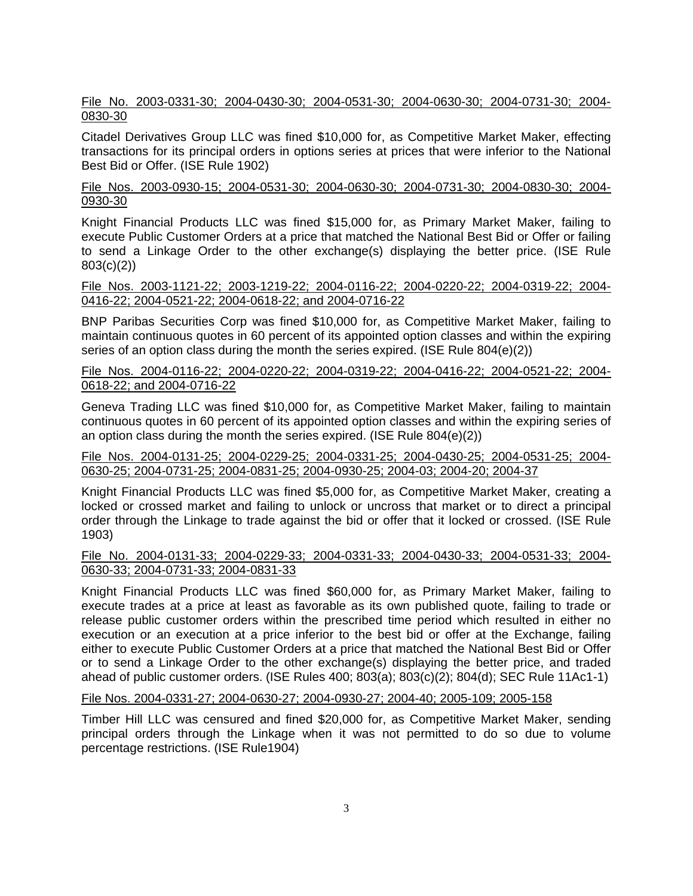## File No. 2003-0331-30; 2004-0430-30; 2004-0531-30; 2004-0630-30; 2004-0731-30; 2004- 0830-30

Citadel Derivatives Group LLC was fined \$10,000 for, as Competitive Market Maker, effecting transactions for its principal orders in options series at prices that were inferior to the National Best Bid or Offer. (ISE Rule 1902)

## File Nos. 2003-0930-15; 2004-0531-30; 2004-0630-30; 2004-0731-30; 2004-0830-30; 2004- 0930-30

Knight Financial Products LLC was fined \$15,000 for, as Primary Market Maker, failing to execute Public Customer Orders at a price that matched the National Best Bid or Offer or failing to send a Linkage Order to the other exchange(s) displaying the better price. (ISE Rule 803(c)(2))

#### File Nos. 2003-1121-22; 2003-1219-22; 2004-0116-22; 2004-0220-22; 2004-0319-22; 2004- 0416-22; 2004-0521-22; 2004-0618-22; and 2004-0716-22

BNP Paribas Securities Corp was fined \$10,000 for, as Competitive Market Maker, failing to maintain continuous quotes in 60 percent of its appointed option classes and within the expiring series of an option class during the month the series expired. (ISE Rule 804(e)(2))

## File Nos. 2004-0116-22; 2004-0220-22; 2004-0319-22; 2004-0416-22; 2004-0521-22; 2004- 0618-22; and 2004-0716-22

Geneva Trading LLC was fined \$10,000 for, as Competitive Market Maker, failing to maintain continuous quotes in 60 percent of its appointed option classes and within the expiring series of an option class during the month the series expired. (ISE Rule 804(e)(2))

## File Nos. 2004-0131-25; 2004-0229-25; 2004-0331-25; 2004-0430-25; 2004-0531-25; 2004- 0630-25; 2004-0731-25; 2004-0831-25; 2004-0930-25; 2004-03; 2004-20; 2004-37

Knight Financial Products LLC was fined \$5,000 for, as Competitive Market Maker, creating a locked or crossed market and failing to unlock or uncross that market or to direct a principal order through the Linkage to trade against the bid or offer that it locked or crossed. (ISE Rule 1903)

## File No. 2004-0131-33; 2004-0229-33; 2004-0331-33; 2004-0430-33; 2004-0531-33; 2004- 0630-33; 2004-0731-33; 2004-0831-33

Knight Financial Products LLC was fined \$60,000 for, as Primary Market Maker, failing to execute trades at a price at least as favorable as its own published quote, failing to trade or release public customer orders within the prescribed time period which resulted in either no execution or an execution at a price inferior to the best bid or offer at the Exchange, failing either to execute Public Customer Orders at a price that matched the National Best Bid or Offer or to send a Linkage Order to the other exchange(s) displaying the better price, and traded ahead of public customer orders. (ISE Rules 400; 803(a); 803(c)(2); 804(d); SEC Rule 11Ac1-1)

## File Nos. 2004-0331-27; 2004-0630-27; 2004-0930-27; 2004-40; 2005-109; 2005-158

Timber Hill LLC was censured and fined \$20,000 for, as Competitive Market Maker, sending principal orders through the Linkage when it was not permitted to do so due to volume percentage restrictions. (ISE Rule1904)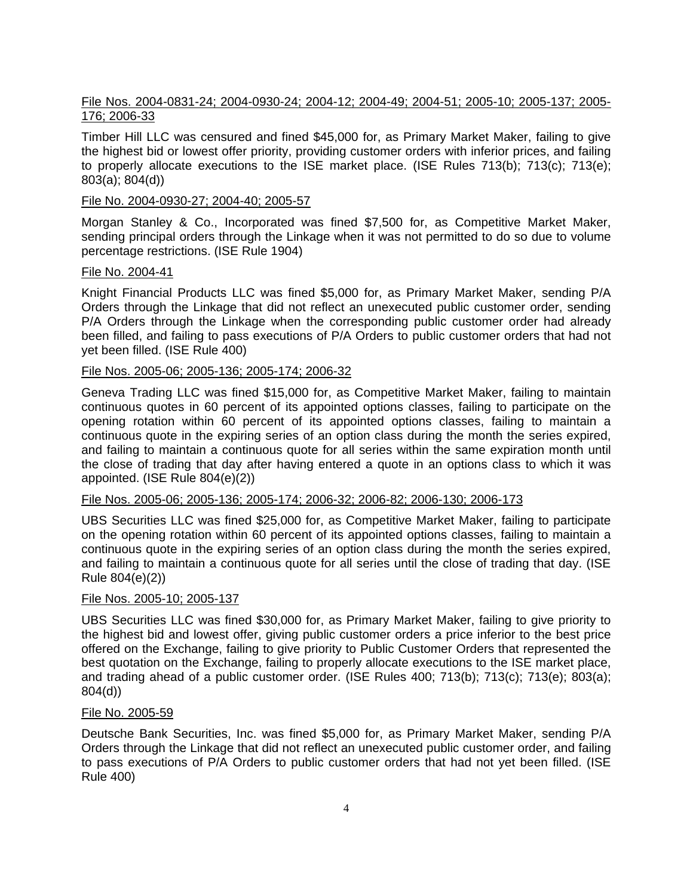## File Nos. 2004-0831-24; 2004-0930-24; 2004-12; 2004-49; 2004-51; 2005-10; 2005-137; 2005- 176; 2006-33

Timber Hill LLC was censured and fined \$45,000 for, as Primary Market Maker, failing to give the highest bid or lowest offer priority, providing customer orders with inferior prices, and failing to properly allocate executions to the ISE market place. (ISE Rules 713(b); 713(c); 713(e); 803(a); 804(d))

#### File No. 2004-0930-27; 2004-40; 2005-57

Morgan Stanley & Co., Incorporated was fined \$7,500 for, as Competitive Market Maker, sending principal orders through the Linkage when it was not permitted to do so due to volume percentage restrictions. (ISE Rule 1904)

#### File No. 2004-41

Knight Financial Products LLC was fined \$5,000 for, as Primary Market Maker, sending P/A Orders through the Linkage that did not reflect an unexecuted public customer order, sending P/A Orders through the Linkage when the corresponding public customer order had already been filled, and failing to pass executions of P/A Orders to public customer orders that had not yet been filled. (ISE Rule 400)

## File Nos. 2005-06; 2005-136; 2005-174; 2006-32

Geneva Trading LLC was fined \$15,000 for, as Competitive Market Maker, failing to maintain continuous quotes in 60 percent of its appointed options classes, failing to participate on the opening rotation within 60 percent of its appointed options classes, failing to maintain a continuous quote in the expiring series of an option class during the month the series expired, and failing to maintain a continuous quote for all series within the same expiration month until the close of trading that day after having entered a quote in an options class to which it was appointed. (ISE Rule 804(e)(2))

#### File Nos. 2005-06; 2005-136; 2005-174; 2006-32; 2006-82; 2006-130; 2006-173

UBS Securities LLC was fined \$25,000 for, as Competitive Market Maker, failing to participate on the opening rotation within 60 percent of its appointed options classes, failing to maintain a continuous quote in the expiring series of an option class during the month the series expired, and failing to maintain a continuous quote for all series until the close of trading that day. (ISE Rule 804(e)(2))

#### File Nos. 2005-10; 2005-137

UBS Securities LLC was fined \$30,000 for, as Primary Market Maker, failing to give priority to the highest bid and lowest offer, giving public customer orders a price inferior to the best price offered on the Exchange, failing to give priority to Public Customer Orders that represented the best quotation on the Exchange, failing to properly allocate executions to the ISE market place, and trading ahead of a public customer order. (ISE Rules 400; 713(b); 713(c); 713(e); 803(a); 804(d))

#### File No. 2005-59

Deutsche Bank Securities, Inc. was fined \$5,000 for, as Primary Market Maker, sending P/A Orders through the Linkage that did not reflect an unexecuted public customer order, and failing to pass executions of P/A Orders to public customer orders that had not yet been filled. (ISE Rule 400)